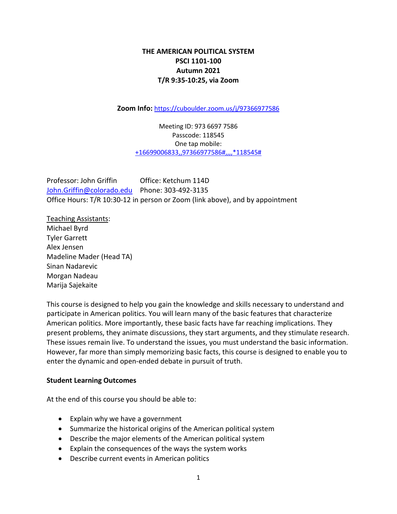# **THE AMERICAN POLITICAL SYSTEM PSCI 1101-100 Autumn 2021 T/R 9:35-10:25, via Zoom**

**Zoom Info:** <https://cuboulder.zoom.us/j/97366977586>

Meeting ID: 973 6697 7586 Passcode: 118545 One tap mobile: [+16699006833,,97366977586#,,,,\\*118545#](tel://+16699006833,,97366977586/#,,,,*118545)

Professor: John Griffin Office: Ketchum 114D [John.Griffin@colorado.edu](mailto:John.Griffin@colorado.edu) Phone: 303-492-3135 Office Hours: T/R 10:30-12 in person or Zoom (link above), and by appointment

Teaching Assistants: Michael Byrd Tyler Garrett Alex Jensen Madeline Mader (Head TA) Sinan Nadarevic Morgan Nadeau Marija Sajekaite

This course is designed to help you gain the knowledge and skills necessary to understand and participate in American politics. You will learn many of the basic features that characterize American politics. More importantly, these basic facts have far reaching implications. They present problems, they animate discussions, they start arguments, and they stimulate research. These issues remain live. To understand the issues, you must understand the basic information. However, far more than simply memorizing basic facts, this course is designed to enable you to enter the dynamic and open-ended debate in pursuit of truth.

## **Student Learning Outcomes**

At the end of this course you should be able to:

- Explain why we have a government
- Summarize the historical origins of the American political system
- Describe the major elements of the American political system
- Explain the consequences of the ways the system works
- Describe current events in American politics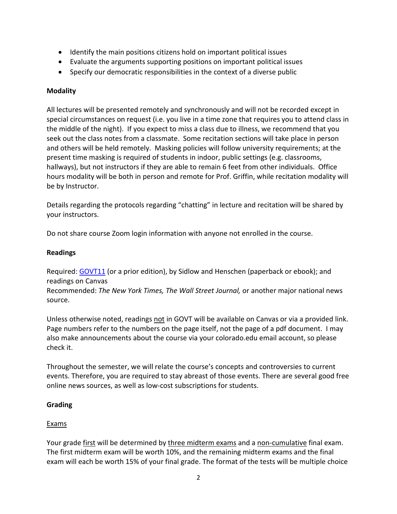- Identify the main positions citizens hold on important political issues
- Evaluate the arguments supporting positions on important political issues
- Specify our democratic responsibilities in the context of a diverse public

# **Modality**

All lectures will be presented remotely and synchronously and will not be recorded except in special circumstances on request (i.e. you live in a time zone that requires you to attend class in the middle of the night). If you expect to miss a class due to illness, we recommend that you seek out the class notes from a classmate. Some recitation sections will take place in person and others will be held remotely. Masking policies will follow university requirements; at the present time masking is required of students in indoor, public settings (e.g. classrooms, hallways), but not instructors if they are able to remain 6 feet from other individuals. Office hours modality will be both in person and remote for Prof. Griffin, while recitation modality will be by Instructor.

Details regarding the protocols regarding "chatting" in lecture and recitation will be shared by your instructors.

Do not share course Zoom login information with anyone not enrolled in the course.

## **Readings**

Required: [GOVT11](https://www.cengage.com/c/govt-11e-sidlow/9780357459799PF/) (or a prior edition), by Sidlow and Henschen (paperback or ebook); and readings on Canvas Recommended: *The New York Times, The Wall Street Journal,* or another major national news source.

Unless otherwise noted, readings not in GOVT will be available on Canvas or via a provided link. Page numbers refer to the numbers on the page itself, not the page of a pdf document. I may also make announcements about the course via your colorado.edu email account, so please check it.

Throughout the semester, we will relate the course's concepts and controversies to current events. Therefore, you are required to stay abreast of those events. There are several good free online news sources, as well as low-cost subscriptions for students.

# **Grading**

# Exams

Your grade first will be determined by three midterm exams and a non-cumulative final exam. The first midterm exam will be worth 10%, and the remaining midterm exams and the final exam will each be worth 15% of your final grade. The format of the tests will be multiple choice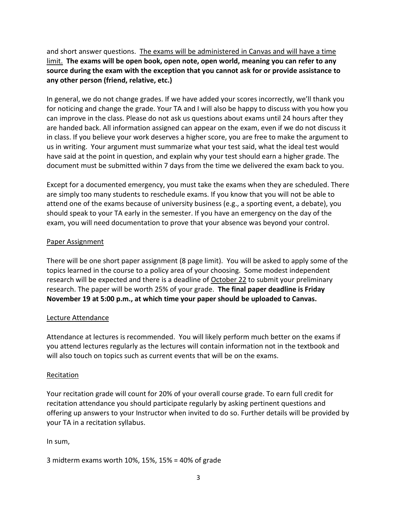and short answer questions. The exams will be administered in Canvas and will have a time limit. **The exams will be open book, open note, open world, meaning you can refer to any source during the exam with the exception that you cannot ask for or provide assistance to any other person (friend, relative, etc.)**

In general, we do not change grades. If we have added your scores incorrectly, we'll thank you for noticing and change the grade. Your TA and I will also be happy to discuss with you how you can improve in the class. Please do not ask us questions about exams until 24 hours after they are handed back. All information assigned can appear on the exam, even if we do not discuss it in class. If you believe your work deserves a higher score, you are free to make the argument to us in writing. Your argument must summarize what your test said, what the ideal test would have said at the point in question, and explain why your test should earn a higher grade. The document must be submitted within 7 days from the time we delivered the exam back to you.

Except for a documented emergency, you must take the exams when they are scheduled. There are simply too many students to reschedule exams. If you know that you will not be able to attend one of the exams because of university business (e.g., a sporting event, a debate), you should speak to your TA early in the semester. If you have an emergency on the day of the exam, you will need documentation to prove that your absence was beyond your control.

# Paper Assignment

There will be one short paper assignment (8 page limit). You will be asked to apply some of the topics learned in the course to a policy area of your choosing. Some modest independent research will be expected and there is a deadline of October 22 to submit your preliminary research. The paper will be worth 25% of your grade. **The final paper deadline is Friday November 19 at 5:00 p.m., at which time your paper should be uploaded to Canvas.**

## Lecture Attendance

Attendance at lectures is recommended. You will likely perform much better on the exams if you attend lectures regularly as the lectures will contain information not in the textbook and will also touch on topics such as current events that will be on the exams.

## Recitation

Your recitation grade will count for 20% of your overall course grade. To earn full credit for recitation attendance you should participate regularly by asking pertinent questions and offering up answers to your Instructor when invited to do so. Further details will be provided by your TA in a recitation syllabus.

In sum,

3 midterm exams worth 10%, 15%, 15% = 40% of grade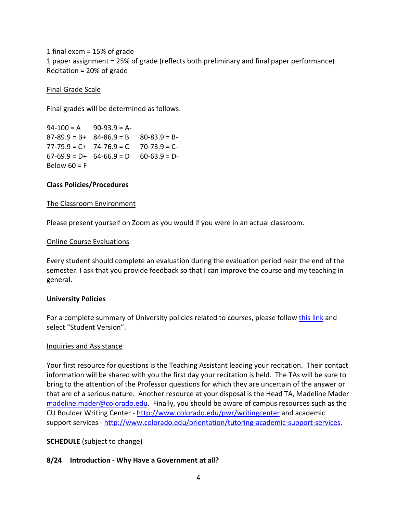1 final exam = 15% of grade 1 paper assignment = 25% of grade (reflects both preliminary and final paper performance) Recitation = 20% of grade

Final Grade Scale

Final grades will be determined as follows:

 $94-100 = A$  90-93.9 = A- $87-89.9 = B+ 84-86.9 = B - 80-83.9 = B 77-79.9 = C+ 74-76.9 = C 70-73.9 = C 67-69.9 = D+ 64-66.9 = D - 60-63.9 = D-$ Below  $60 = F$ 

## **Class Policies/Procedures**

### The Classroom Environment

Please present yourself on Zoom as you would if you were in an actual classroom.

#### Online Course Evaluations

Every student should complete an evaluation during the evaluation period near the end of the semester. I ask that you provide feedback so that I can improve the course and my teaching in general.

#### **University Policies**

For a complete summary of University policies related to courses, please follow [this link](https://www.colorado.edu/academicaffairs/policies-customs-guidelines/required-syllabus-statements) and select "Student Version".

#### Inquiries and Assistance

Your first resource for questions is the Teaching Assistant leading your recitation. Their contact information will be shared with you the first day your recitation is held. The TAs will be sure to bring to the attention of the Professor questions for which they are uncertain of the answer or that are of a serious nature. Another resource at your disposal is the Head TA, Madeline Mader [madeline.mader@colorado.edu.](mailto:madeline.mader@colorado.edu) Finally, you should be aware of campus resources such as the CU Boulder Writing Center - <http://www.colorado.edu/pwr/writingcenter> and academic support services - [http://www.colorado.edu/orientation/tutoring-academic-support-services.](http://www.colorado.edu/orientation/tutoring-academic-support-services)

## **SCHEDULE** (subject to change)

## **8/24 Introduction - Why Have a Government at all?**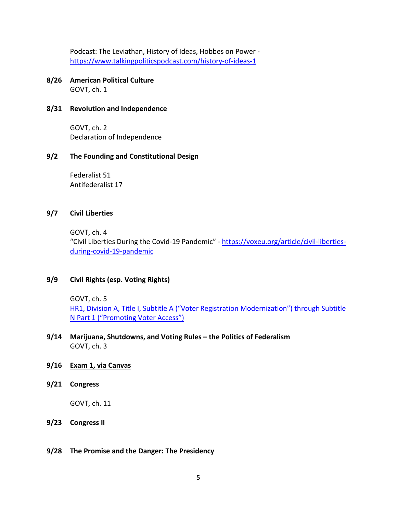Podcast: The Leviathan, History of Ideas, Hobbes on Power <https://www.talkingpoliticspodcast.com/history-of-ideas-1>

**8/26 American Political Culture** GOVT, ch. 1

### **8/31 Revolution and Independence**

GOVT, ch. 2 Declaration of Independence

### **9/2 The Founding and Constitutional Design**

Federalist 51 Antifederalist 17

### **9/7 Civil Liberties**

GOVT, ch. 4 "Civil Liberties During the Covid-19 Pandemic" - [https://voxeu.org/article/civil-liberties](https://voxeu.org/article/civil-liberties-during-covid-19-pandemic)[during-covid-19-pandemic](https://voxeu.org/article/civil-liberties-during-covid-19-pandemic)

## **9/9 Civil Rights (esp. Voting Rights)**

GOVT, ch. 5

HR1, Division A, Title I, Subtitle A ("Voter Registration Modernization") through Subtitle [N Part 1 \("Promoting Voter Access"\)](https://www.congress.gov/bill/117th-congress/house-bill/1/text)

- **9/14 Marijuana, Shutdowns, and Voting Rules – the Politics of Federalism**  GOVT, ch. 3
- **9/16 Exam 1, via Canvas**
- **9/21 Congress**

GOVT, ch. 11

- **9/23 Congress II**
- **9/28 The Promise and the Danger: The Presidency**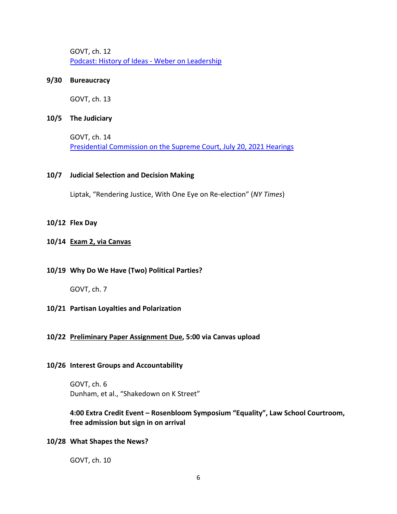GOVT, ch. 12 [Podcast: History of Ideas -](https://www.talkingpoliticspodcast.com/history-of-ideas-1) Weber on Leadership

### **9/30 Bureaucracy**

GOVT, ch. 13

### **10/5 The Judiciary**

GOVT, ch. 14 [Presidential Commission on the Supreme Court, July 20, 2021 Hearings](https://www.whitehouse.gov/pcscotus/public-meetings/)

## **10/7 Judicial Selection and Decision Making**

Liptak, "Rendering Justice, With One Eye on Re-election" (*NY Times*)

## **10/12 Flex Day**

## **10/14 Exam 2, via Canvas**

## **10/19 Why Do We Have (Two) Political Parties?**

GOVT, ch. 7

## **10/21 Partisan Loyalties and Polarization**

## **10/22 Preliminary Paper Assignment Due, 5:00 via Canvas upload**

#### **10/26 Interest Groups and Accountability**

GOVT, ch. 6 Dunham, et al., "Shakedown on K Street"

## **4:00 Extra Credit Event – Rosenbloom Symposium "Equality", Law School Courtroom, free admission but sign in on arrival**

#### **10/28 What Shapes the News?**

GOVT, ch. 10